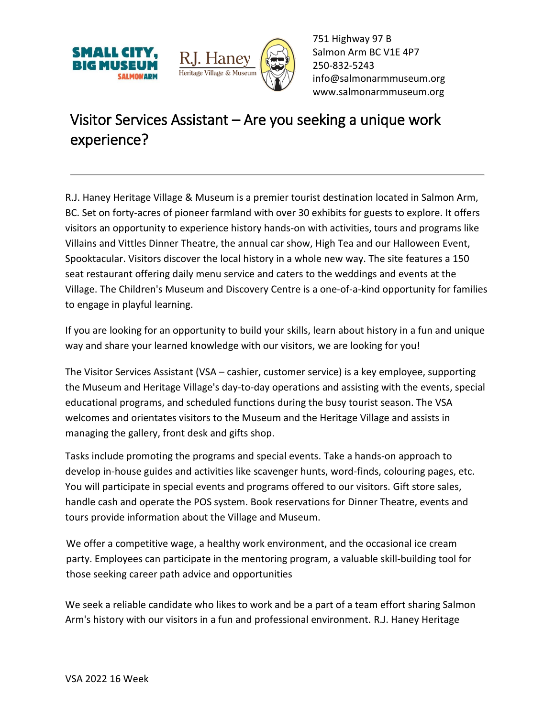



751 Highway 97 B Salmon Arm BC V1E 4P7 250-832-5243 [info@salmonarmmuseum.org](mailto:info@salmonarmmuseum.org) www.salmonarmmuseum.org

## Visitor Services Assistant – Are you seeking a unique work experience?

R.J. Haney Heritage Village & Museum is a premier tourist destination located in Salmon Arm, BC. Set on forty-acres of pioneer farmland with over 30 exhibits for guests to explore. It offers visitors an opportunity to experience history hands-on with activities, tours and programs like Villains and Vittles Dinner Theatre, the annual car show, High Tea and our Halloween Event, Spooktacular. Visitors discover the local history in a whole new way. The site features a 150 seat restaurant offering daily menu service and caters to the weddings and events at the Village. The Children's Museum and Discovery Centre is a one-of-a-kind opportunity for families to engage in playful learning.

If you are looking for an opportunity to build your skills, learn about history in a fun and unique way and share your learned knowledge with our visitors, we are looking for you!

The Visitor Services Assistant (VSA – cashier, customer service) is a key employee, supporting the Museum and Heritage Village's day-to-day operations and assisting with the events, special educational programs, and scheduled functions during the busy tourist season. The VSA welcomes and orientates visitors to the Museum and the Heritage Village and assists in managing the gallery, front desk and gifts shop.

Tasks include promoting the programs and special events. Take a hands-on approach to develop in-house guides and activities like scavenger hunts, word-finds, colouring pages, etc. You will participate in special events and programs offered to our visitors. Gift store sales, handle cash and operate the POS system. Book reservations for Dinner Theatre, events and tours provide information about the Village and Museum.

We offer a competitive wage, a healthy work environment, and the occasional ice cream party. Employees can participate in the mentoring program, a valuable skill-building tool for those seeking career path advice and opportunities

We seek a reliable candidate who likes to work and be a part of a team effort sharing Salmon Arm's history with our visitors in a fun and professional environment. R.J. Haney Heritage